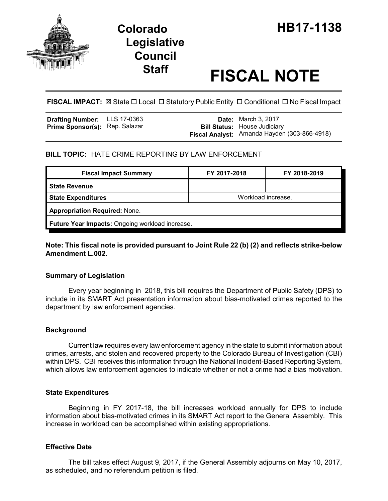

# **Legislative Council**

## **Staff FISCAL NOTE**

**FISCAL IMPACT:**  $\boxtimes$  State  $\Box$  Local  $\Box$  Statutory Public Entity  $\Box$  Conditional  $\Box$  No Fiscal Impact

| <b>Drafting Number:</b> LLS 17-0363   |  | <b>Date:</b> March 3, 2017                   |
|---------------------------------------|--|----------------------------------------------|
| <b>Prime Sponsor(s): Rep. Salazar</b> |  | <b>Bill Status:</b> House Judiciary          |
|                                       |  | Fiscal Analyst: Amanda Hayden (303-866-4918) |

#### **BILL TOPIC:** HATE CRIME REPORTING BY LAW ENFORCEMENT

| <b>Fiscal Impact Summary</b>                    | FY 2017-2018       | FY 2018-2019 |  |  |  |
|-------------------------------------------------|--------------------|--------------|--|--|--|
| <b>State Revenue</b>                            |                    |              |  |  |  |
| <b>State Expenditures</b>                       | Workload increase. |              |  |  |  |
| <b>Appropriation Required: None.</b>            |                    |              |  |  |  |
| Future Year Impacts: Ongoing workload increase. |                    |              |  |  |  |

#### **Note: This fiscal note is provided pursuant to Joint Rule 22 (b) (2) and reflects strike-below Amendment L.002.**

#### **Summary of Legislation**

Every year beginning in 2018, this bill requires the Department of Public Safety (DPS) to include in its SMART Act presentation information about bias-motivated crimes reported to the department by law enforcement agencies.

#### **Background**

Current law requires every law enforcement agency in the state to submit information about crimes, arrests, and stolen and recovered property to the Colorado Bureau of Investigation (CBI) within DPS. CBI receives this information through the National Incident-Based Reporting System, which allows law enforcement agencies to indicate whether or not a crime had a bias motivation.

#### **State Expenditures**

Beginning in FY 2017-18, the bill increases workload annually for DPS to include information about bias-motivated crimes in its SMART Act report to the General Assembly. This increase in workload can be accomplished within existing appropriations.

#### **Effective Date**

The bill takes effect August 9, 2017, if the General Assembly adjourns on May 10, 2017, as scheduled, and no referendum petition is filed.